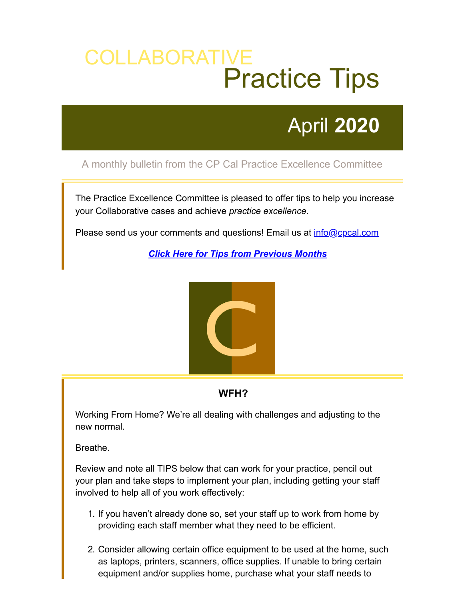# COLLABORATIVE Practice Tips

# April **2020**

## A monthly bulletin from the CP Cal Practice Excellence Committee

The Practice Excellence Committee is pleased to offer tips to help you increase your Collaborative cases and achieve *practice excellence.*

Please send us your comments and questions! Email us at *[info@cpcal.com](mailto:info@cpcal.com)* 

*[Click Here for Tips from Previous Months](http://www.cpcal.com/for-professionals/practice-tips-newsletter)*



### **WFH?**

Working From Home? We're all dealing with challenges and adjusting to the new normal.

Breathe.

Review and note all TIPS below that can work for your practice, pencil out your plan and take steps to implement your plan, including getting your staff involved to help all of you work effectively:

- 1. If you haven't already done so, set your staff up to work from home by providing each staff member what they need to be efficient.
- 2. Consider allowing certain office equipment to be used at the home, such as laptops, printers, scanners, office supplies. If unable to bring certain equipment and/or supplies home, purchase what your staff needs to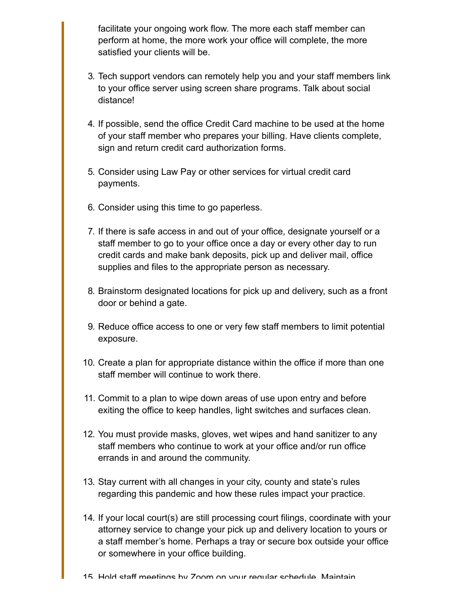facilitate your ongoing work flow. The more each staff member can perform at home, the more work your office will complete, the more satisfied your clients will be.

- 3. Tech support vendors can remotely help you and your staff members link to your office server using screen share programs. Talk about social distance!
- 4. If possible, send the office Credit Card machine to be used at the home of your staff member who prepares your billing. Have clients complete, sign and return credit card authorization forms.
- 5. Consider using Law Pay or other services for virtual credit card payments.
- 6. Consider using this time to go paperless.
- 7. If there is safe access in and out of your office, designate yourself or a staff member to go to your office once a day or every other day to run credit cards and make bank deposits, pick up and deliver mail, office supplies and files to the appropriate person as necessary.
- 8. Brainstorm designated locations for pick up and delivery, such as a front door or behind a gate.
- 9. Reduce office access to one or very few staff members to limit potential exposure.
- 10. Create a plan for appropriate distance within the office if more than one staff member will continue to work there.
- 11. Commit to a plan to wipe down areas of use upon entry and before exiting the office to keep handles, light switches and surfaces clean.
- 12. You must provide masks, gloves, wet wipes and hand sanitizer to any staff members who continue to work at your office and/or run office errands in and around the community.
- 13. Stay current with all changes in your city, county and state's rules regarding this pandemic and how these rules impact your practice.
- 14. If your local court(s) are still processing court filings, coordinate with your attorney service to change your pick up and delivery location to yours or a staff member's home. Perhaps a tray or secure box outside your office or somewhere in your office building.
- 15 Hold staff meetings by Zoom on your regular schedule Maintain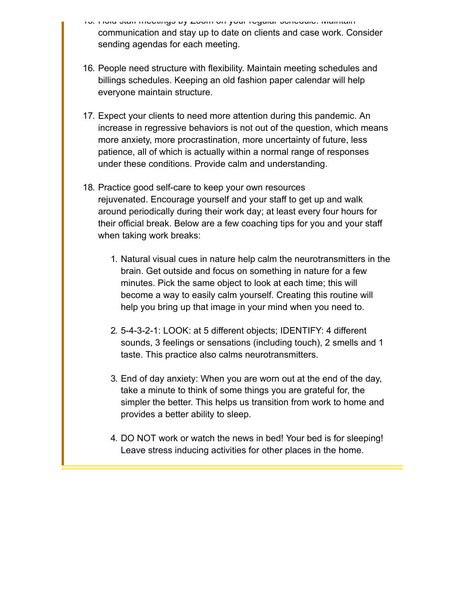- 15. Hold staff meetings by Zoom on your regular schedule. Maintain communication and stay up to date on clients and case work. Consider sending agendas for each meeting.
- 16. People need structure with flexibility. Maintain meeting schedules and billings schedules. Keeping an old fashion paper calendar will help everyone maintain structure.
- 17. Expect your clients to need more attention during this pandemic. An increase in regressive behaviors is not out of the question, which means more anxiety, more procrastination, more uncertainty of future, less patience, all of which is actually within a normal range of responses under these conditions. Provide calm and understanding.
- 18. Practice good self-care to keep your own resources rejuvenated. Encourage yourself and your staff to get up and walk around periodically during their work day; at least every four hours for their official break. Below are a few coaching tips for you and your staff when taking work breaks:
	- 1. Natural visual cues in nature help calm the neurotransmitters in the brain. Get outside and focus on something in nature for a few minutes. Pick the same object to look at each time; this will become a way to easily calm yourself. Creating this routine will help you bring up that image in your mind when you need to.
	- 2. 5-4-3-2-1: LOOK: at 5 different objects; IDENTIFY: 4 different sounds, 3 feelings or sensations (including touch), 2 smells and 1 taste. This practice also calms neurotransmitters.
	- 3. End of day anxiety: When you are worn out at the end of the day, take a minute to think of some things you are grateful for, the simpler the better. This helps us transition from work to home and provides a better ability to sleep.
	- 4. DO NOT work or watch the news in bed! Your bed is for sleeping! Leave stress inducing activities for other places in the home.